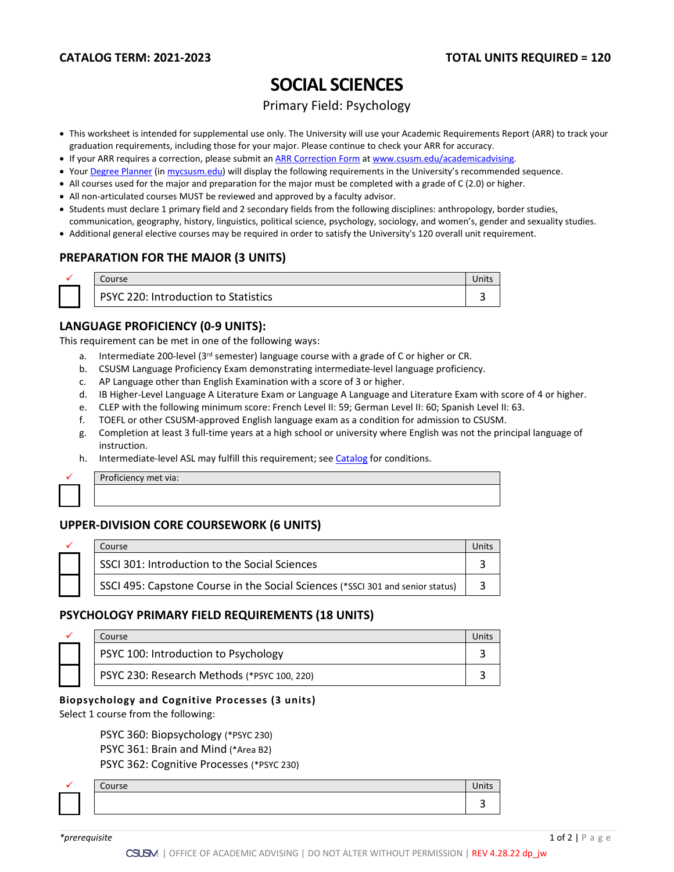# **SOCIAL SCIENCES**

Primary Field: Psychology

- This worksheet is intended for supplemental use only. The University will use your Academic Requirements Report (ARR) to track your graduation requirements, including those for your major. Please continue to check your ARR for accuracy.
- If your ARR requires a correction, please submit an [ARR Correction Form](http://www.csusm.edu/academicadvising/arrcorrection/index.html) a[t www.csusm.edu/academicadvising.](http://www.csusm.edu/academicadvising)
- You[r Degree Planner](https://www.csusm.edu/academicadvising/degreeplanner/index.html) (i[n mycsusm.edu\)](https://my.csusm.edu/) will display the following requirements in the University's recommended sequence.
- All courses used for the major and preparation for the major must be completed with a grade of C (2.0) or higher.
- All non-articulated courses MUST be reviewed and approved by a faculty advisor.
- Students must declare 1 primary field and 2 secondary fields from the following disciplines: anthropology, border studies,
- communication, geography, history, linguistics, political science, psychology, sociology, and women's, gender and sexuality studies.
- Additional general elective courses may be required in order to satisfy the University's 120 overall unit requirement.

## **PREPARATION FOR THE MAJOR (3 UNITS)**

|  | Course                                      | Units |
|--|---------------------------------------------|-------|
|  | <b>PSYC 220: Introduction to Statistics</b> |       |

## **LANGUAGE PROFICIENCY (0-9 UNITS):**

This requirement can be met in one of the following ways:

- a. Intermediate 200-level (3rd semester) language course with a grade of C or higher or CR.
- b. CSUSM Language Proficiency Exam demonstrating intermediate-level language proficiency.
- c. AP Language other than English Examination with a score of 3 or higher.
- d. IB Higher-Level Language A Literature Exam or Language A Language and Literature Exam with score of 4 or higher.
- e. CLEP with the following minimum score: French Level II: 59; German Level II: 60; Spanish Level II: 63.
- f. TOEFL or other CSUSM-approved English language exam as a condition for admission to CSUSM.
- g. Completion at least 3 full-time years at a high school or university where English was not the principal language of instruction.
- h. Intermediate-level ASL may fulfill this requirement; see [Catalog](http://catalog.csusm.edu/) for conditions.

Proficiency met via:

# **UPPER-DIVISION CORE COURSEWORK (6 UNITS)**

|  | Course                                                                         |  |
|--|--------------------------------------------------------------------------------|--|
|  | SSCI 301: Introduction to the Social Sciences                                  |  |
|  | SSCI 495: Capstone Course in the Social Sciences (*SSCI 301 and senior status) |  |

## **PSYCHOLOGY PRIMARY FIELD REQUIREMENTS (18 UNITS)**

|  | Course                                      |  |
|--|---------------------------------------------|--|
|  | PSYC 100: Introduction to Psychology        |  |
|  | PSYC 230: Research Methods (*PSYC 100, 220) |  |

#### **Biopsychology and Cognitive Processes (3 units)**

Select 1 course from the following:

PSYC 360: Biopsychology (\*PSYC 230) PSYC 361: Brain and Mind (\*Area B2) PSYC 362: Cognitive Processes (\*PSYC 230)

 $\checkmark$  Course Units and  $\checkmark$  Units and  $\checkmark$  Units and  $\checkmark$  Units and  $\checkmark$  Units and  $\checkmark$  Units and  $\checkmark$  Units and  $\checkmark$  Units and  $\checkmark$  Units and  $\checkmark$  Units and  $\checkmark$  Units and  $\checkmark$  Units and  $\checkmark$  Units and  $\checkmark$  3